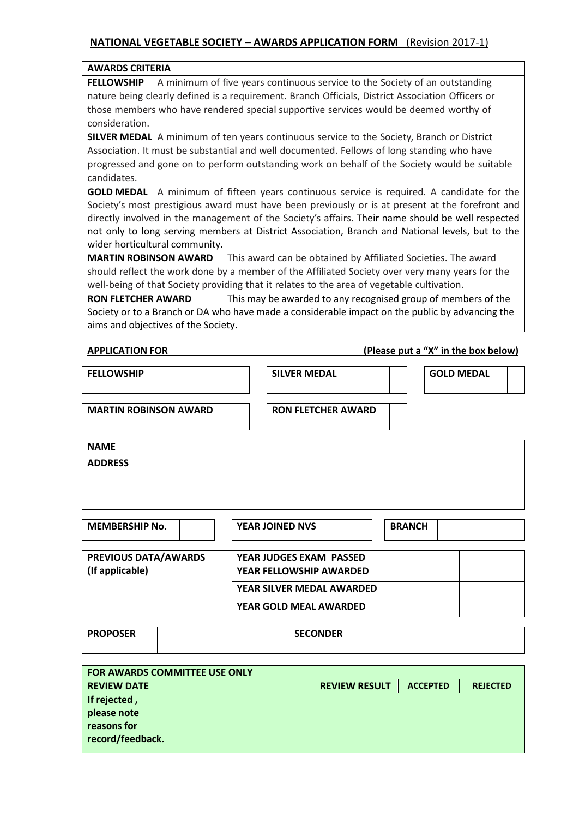## **AWARDS CRITERIA**

**FELLOWSHIP** A minimum of five years continuous service to the Society of an outstanding nature being clearly defined is a requirement. Branch Officials, District Association Officers or those members who have rendered special supportive services would be deemed worthy of consideration.

**SILVER MEDAL** A minimum of ten years continuous service to the Society, Branch or District Association. It must be substantial and well documented. Fellows of long standing who have progressed and gone on to perform outstanding work on behalf of the Society would be suitable candidates.

**GOLD MEDAL** A minimum of fifteen years continuous service is required. A candidate for the Society's most prestigious award must have been previously or is at present at the forefront and directly involved in the management of the Society's affairs. Their name should be well respected not only to long serving members at District Association, Branch and National levels, but to the wider horticultural community.

**MARTIN ROBINSON AWARD** This award can be obtained by Affiliated Societies. The award should reflect the work done by a member of the Affiliated Society over very many years for the well-being of that Society providing that it relates to the area of vegetable cultivation.

**RON FLETCHER AWARD** This may be awarded to any recognised group of members of the Society or to a Branch or DA who have made a considerable impact on the public by advancing the aims and objectives of the Society.

**APPLICATION FOR (Please put a "X" in the box below)**

| <b>FELLOWSHIP</b>            |  | <b>SILVER MEDAL</b>       | <b>GOLD MEDAL</b> |  |
|------------------------------|--|---------------------------|-------------------|--|
| <b>MARTIN ROBINSON AWARD</b> |  | <b>RON FLETCHER AWARD</b> |                   |  |
| <b>NAME</b>                  |  |                           |                   |  |
| <b>ADDRESS</b>               |  |                           |                   |  |
|                              |  |                           |                   |  |
|                              |  |                           |                   |  |

| <b>MEMBERSHIP No.</b>       | <b>YEAR JOINED NVS</b>         | <b>BRANCH</b> |
|-----------------------------|--------------------------------|---------------|
| <b>PREVIOUS DATA/AWARDS</b> | <b>YEAR JUDGES EXAM PASSED</b> |               |
| (If applicable)             | <b>YEAR FELLOWSHIP AWARDED</b> |               |
|                             | YEAR SILVER MEDAL AWARDED      |               |
|                             | <b>YEAR GOLD MEAL AWARDED</b>  |               |

| <b>PROPOSER</b> | <b>SECONDER</b> |  |
|-----------------|-----------------|--|
|                 |                 |  |

| <b>FOR AWARDS COMMITTEE USE ONLY</b> |  |                      |                 |                 |  |  |
|--------------------------------------|--|----------------------|-----------------|-----------------|--|--|
| <b>REVIEW DATE</b>                   |  | <b>REVIEW RESULT</b> | <b>ACCEPTED</b> | <b>REJECTED</b> |  |  |
| If rejected,                         |  |                      |                 |                 |  |  |
| please note                          |  |                      |                 |                 |  |  |
| reasons for                          |  |                      |                 |                 |  |  |
| record/feedback.                     |  |                      |                 |                 |  |  |
|                                      |  |                      |                 |                 |  |  |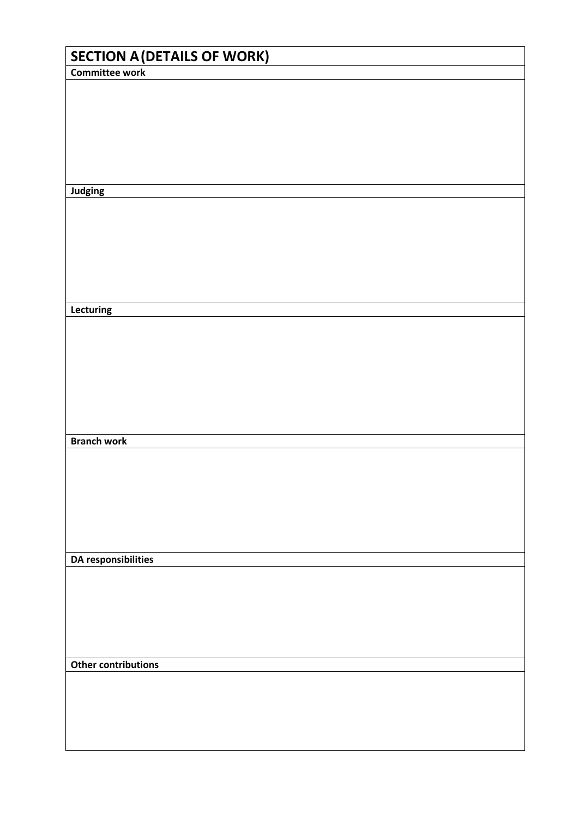| <b>SECTION A (DETAILS OF WORK)</b> |  |
|------------------------------------|--|
| <b>Committee work</b>              |  |
|                                    |  |
|                                    |  |
|                                    |  |
|                                    |  |
|                                    |  |
| Judging                            |  |
|                                    |  |
|                                    |  |
|                                    |  |
|                                    |  |
|                                    |  |
| Lecturing                          |  |
|                                    |  |
|                                    |  |
|                                    |  |
|                                    |  |
|                                    |  |
|                                    |  |
| <b>Branch work</b>                 |  |
|                                    |  |
|                                    |  |
|                                    |  |
|                                    |  |
|                                    |  |
| <b>DA responsibilities</b>         |  |
|                                    |  |
|                                    |  |
|                                    |  |
|                                    |  |
|                                    |  |
| <b>Other contributions</b>         |  |
|                                    |  |
|                                    |  |
|                                    |  |
|                                    |  |